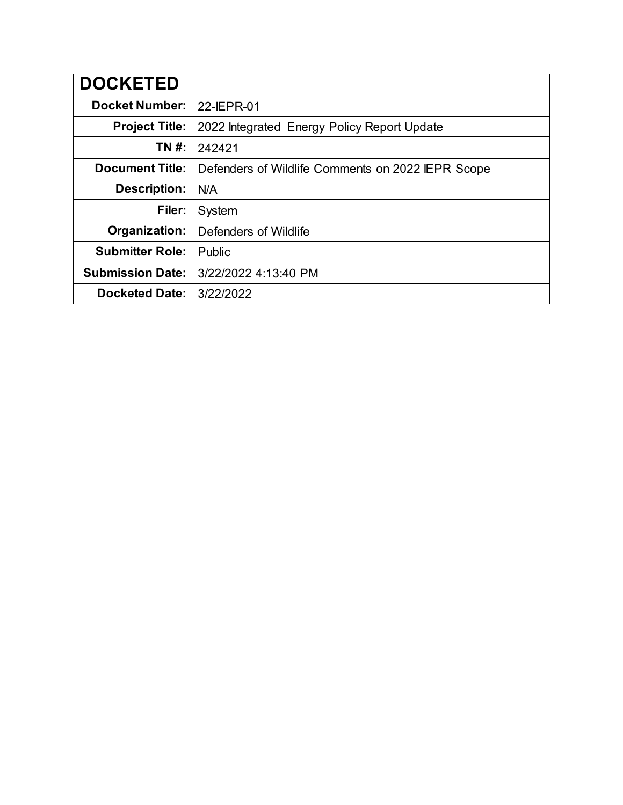| <b>DOCKETED</b>         |                                                   |
|-------------------------|---------------------------------------------------|
| <b>Docket Number:</b>   | 22-IEPR-01                                        |
| <b>Project Title:</b>   | 2022 Integrated Energy Policy Report Update       |
| TN #:                   | 242421                                            |
| <b>Document Title:</b>  | Defenders of Wildlife Comments on 2022 IEPR Scope |
| Description:            | N/A                                               |
| Filer:                  | System                                            |
| Organization:           | Defenders of Wildlife                             |
| <b>Submitter Role:</b>  | Public                                            |
| <b>Submission Date:</b> | 3/22/2022 4:13:40 PM                              |
| <b>Docketed Date:</b>   | 3/22/2022                                         |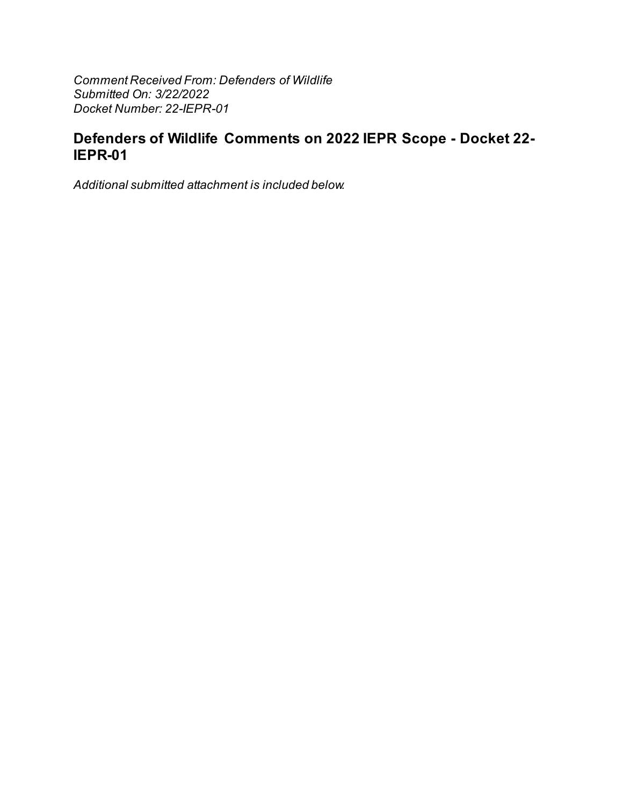Comment Received From: Defenders of Wildlife Submitted On: 3/22/2022 Docket Number: 22-IEPR-01

## Defenders of Wildlife Comments on 2022 IEPR Scope - Docket 22-IEPR-01

Additional submitted attachment is included below.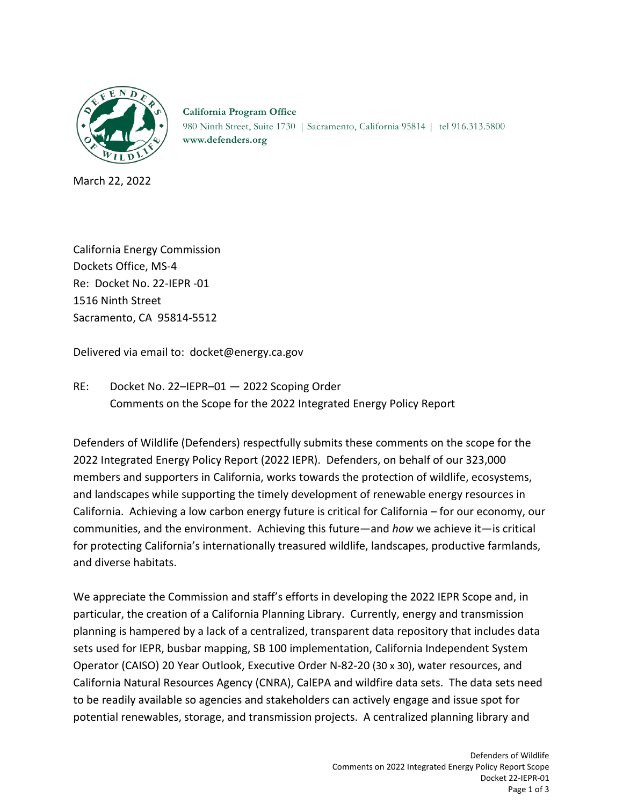

**California Program Office** 980 Ninth Street, Suite 1730 | Sacramento, California 95814 | tel 916.313.5800 **[www.defenders.org](http://www.defenders.org/)**

March 22, 2022

California Energy Commission Dockets Office, MS-4 Re: Docket No. 22-IEPR -01 1516 Ninth Street Sacramento, CA 95814-5512

Delivered via email to: docket@energy.ca.gov

RE: Docket No. 22–IEPR–01 — 2022 Scoping Order Comments on the Scope for the 2022 Integrated Energy Policy Report

Defenders of Wildlife (Defenders) respectfully submits these comments on the scope for the 2022 Integrated Energy Policy Report (2022 IEPR). Defenders, on behalf of our 323,000 members and supporters in California, works towards the protection of wildlife, ecosystems, and landscapes while supporting the timely development of renewable energy resources in California. Achieving a low carbon energy future is critical for California – for our economy, our communities, and the environment. Achieving this future—and *how* we achieve it—is critical for protecting California's internationally treasured wildlife, landscapes, productive farmlands, and diverse habitats.

We appreciate the Commission and staff's efforts in developing the 2022 IEPR Scope and, in particular, the creation of a California Planning Library. Currently, energy and transmission planning is hampered by a lack of a centralized, transparent data repository that includes data sets used for IEPR, busbar mapping, SB 100 implementation, California Independent System Operator (CAISO) 20 Year Outlook, Executive Order N-82-20 (30 x 30), water resources, and California Natural Resources Agency (CNRA), CalEPA and wildfire data sets. The data sets need to be readily available so agencies and stakeholders can actively engage and issue spot for potential renewables, storage, and transmission projects. A centralized planning library and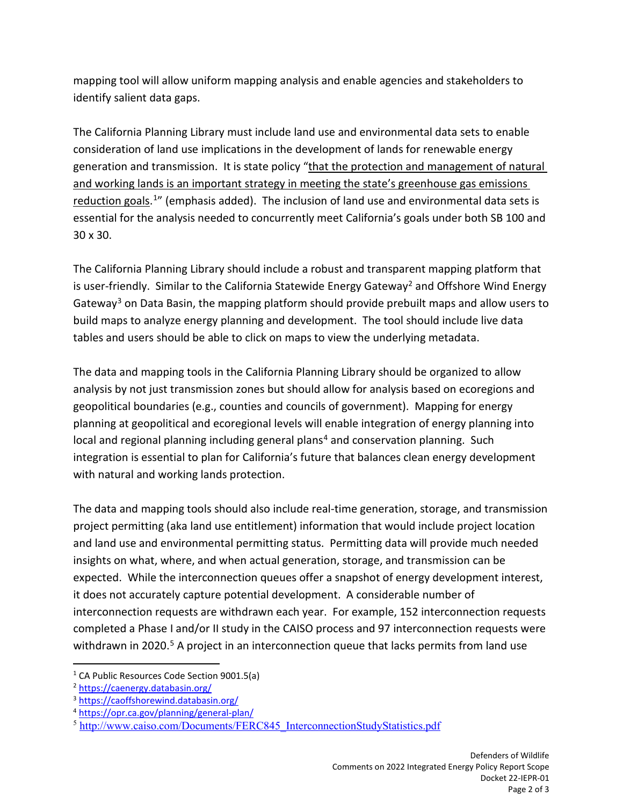mapping tool will allow uniform mapping analysis and enable agencies and stakeholders to identify salient data gaps.

The California Planning Library must include land use and environmental data sets to enable consideration of land use implications in the development of lands for renewable energy generation and transmission. It is state policy "that the protection and management of natural and working lands is an important strategy in meeting the state's greenhouse gas emissions reduction goals.<sup>1</sup>" (emphasis added). The inclusion of land use and environmental data sets is essential for the analysis needed to concurrently meet California's goals under both SB 100 and 30 x 30.

The California Planning Library should include a robust and transparent mapping platform that is user-friendly. Similar to the California Statewide Energy Gateway<sup>[2](#page-3-1)</sup> and Offshore Wind Energy Gateway<sup>[3](#page-3-2)</sup> on Data Basin, the mapping platform should provide prebuilt maps and allow users to build maps to analyze energy planning and development. The tool should include live data tables and users should be able to click on maps to view the underlying metadata.

The data and mapping tools in the California Planning Library should be organized to allow analysis by not just transmission zones but should allow for analysis based on ecoregions and geopolitical boundaries (e.g., counties and councils of government). Mapping for energy planning at geopolitical and ecoregional levels will enable integration of energy planning into local and regional planning including general plans<sup>[4](#page-3-3)</sup> and conservation planning. Such integration is essential to plan for California's future that balances clean energy development with natural and working lands protection.

The data and mapping tools should also include real-time generation, storage, and transmission project permitting (aka land use entitlement) information that would include project location and land use and environmental permitting status. Permitting data will provide much needed insights on what, where, and when actual generation, storage, and transmission can be expected. While the interconnection queues offer a snapshot of energy development interest, it does not accurately capture potential development. A considerable number of interconnection requests are withdrawn each year. For example, 152 interconnection requests completed a Phase I and/or II study in the CAISO process and 97 interconnection requests were withdrawn in 2020.<sup>[5](#page-3-4)</sup> A project in an interconnection queue that lacks permits from land use

<span id="page-3-0"></span><sup>&</sup>lt;sup>1</sup> CA Public Resources Code Section 9001.5(a)

<span id="page-3-1"></span><sup>2</sup> <https://caenergy.databasin.org/>

<span id="page-3-2"></span><sup>3</sup> <https://caoffshorewind.databasin.org/>

<span id="page-3-3"></span><sup>4</sup> <https://opr.ca.gov/planning/general-plan/>

<span id="page-3-4"></span><sup>&</sup>lt;sup>5</sup> http://www.caiso.com/Documents/FERC845 InterconnectionStudyStatistics.pdf